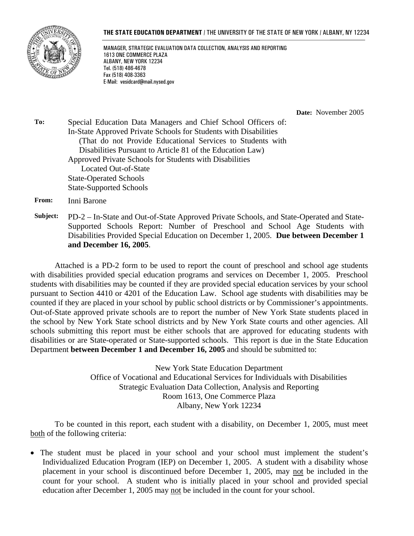#### **THE STATE EDUCATION DEPARTMENT** / THE UNIVERSITY OF THE STATE OF NEW YORK / ALBANY, NY 12234



MANAGER, STRATEGIC EVALUATION DATA COLLECTION, ANALYSIS AND REPORTING 1613 ONE COMMERCE PLAZA ALBANY, NEW YORK 12234 Tel. (518) 486-4678 Fax (518) 408-3363 E-Mail: vesidcard@mail.nysed.gov

**Date:** November 2005

**To:** Special Education Data Managers and Chief School Officers of: In-State Approved Private Schools for Students with Disabilities (That do not Provide Educational Services to Students with Disabilities Pursuant to Article 81 of the Education Law) Approved Private Schools for Students with Disabilities Located Out-of-State State-Operated Schools State-Supported Schools

**From:** Inni Barone

**Subject:** PD-2 – In-State and Out-of-State Approved Private Schools, and State-Operated and State-Supported Schools Report: Number of Preschool and School Age Students with Disabilities Provided Special Education on December 1, 2005. **Due between December 1 and December 16, 2005**.

Attached is a PD-2 form to be used to report the count of preschool and school age students with disabilities provided special education programs and services on December 1, 2005. Preschool students with disabilities may be counted if they are provided special education services by your school pursuant to Section 4410 or 4201 of the Education Law. School age students with disabilities may be counted if they are placed in your school by public school districts or by Commissioner's appointments. Out-of-State approved private schools are to report the number of New York State students placed in the school by New York State school districts and by New York State courts and other agencies. All schools submitting this report must be either schools that are approved for educating students with disabilities or are State-operated or State-supported schools. This report is due in the State Education Department **between December 1 and December 16, 2005** and should be submitted to:

> New York State Education Department Office of Vocational and Educational Services for Individuals with Disabilities Strategic Evaluation Data Collection, Analysis and Reporting Room 1613, One Commerce Plaza Albany, New York 12234

To be counted in this report, each student with a disability, on December 1, 2005, must meet both of the following criteria:

• The student must be placed in your school and your school must implement the student's Individualized Education Program (IEP) on December 1, 2005. A student with a disability whose placement in your school is discontinued before December 1, 2005, may not be included in the count for your school. A student who is initially placed in your school and provided special education after December 1, 2005 may not be included in the count for your school.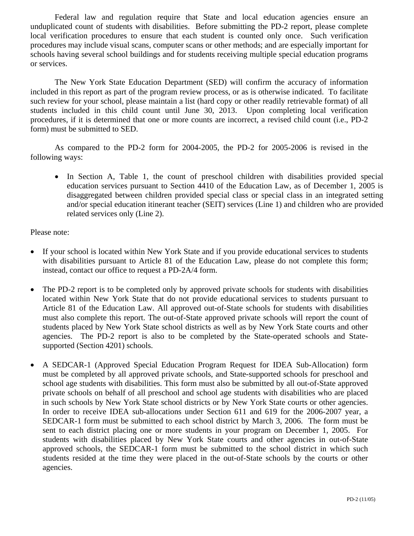Federal law and regulation require that State and local education agencies ensure an unduplicated count of students with disabilities. Before submitting the PD-2 report, please complete local verification procedures to ensure that each student is counted only once. Such verification procedures may include visual scans, computer scans or other methods; and are especially important for schools having several school buildings and for students receiving multiple special education programs or services.

The New York State Education Department (SED) will confirm the accuracy of information included in this report as part of the program review process, or as is otherwise indicated. To facilitate such review for your school, please maintain a list (hard copy or other readily retrievable format) of all students included in this child count until June 30, 2013. Upon completing local verification procedures, if it is determined that one or more counts are incorrect, a revised child count (i.e., PD-2 form) must be submitted to SED.

As compared to the PD-2 form for 2004-2005, the PD-2 for 2005-2006 is revised in the following ways:

• In Section A, Table 1, the count of preschool children with disabilities provided special education services pursuant to Section 4410 of the Education Law, as of December 1, 2005 is disaggregated between children provided special class or special class in an integrated setting and/or special education itinerant teacher (SEIT) services (Line 1) and children who are provided related services only (Line 2).

## Please note:

- If your school is located within New York State and if you provide educational services to students with disabilities pursuant to Article 81 of the Education Law, please do not complete this form; instead, contact our office to request a PD-2A/4 form.
- The PD-2 report is to be completed only by approved private schools for students with disabilities located within New York State that do not provide educational services to students pursuant to Article 81 of the Education Law. All approved out-of-State schools for students with disabilities must also complete this report. The out-of-State approved private schools will report the count of students placed by New York State school districts as well as by New York State courts and other agencies. The PD-2 report is also to be completed by the State-operated schools and Statesupported (Section 4201) schools.
- A SEDCAR-1 (Approved Special Education Program Request for IDEA Sub-Allocation) form must be completed by all approved private schools, and State-supported schools for preschool and school age students with disabilities. This form must also be submitted by all out-of-State approved private schools on behalf of all preschool and school age students with disabilities who are placed in such schools by New York State school districts or by New York State courts or other agencies. In order to receive IDEA sub-allocations under Section 611 and 619 for the 2006-2007 year, a SEDCAR-1 form must be submitted to each school district by March 3, 2006. The form must be sent to each district placing one or more students in your program on December 1, 2005. For students with disabilities placed by New York State courts and other agencies in out-of-State approved schools, the SEDCAR-1 form must be submitted to the school district in which such students resided at the time they were placed in the out-of-State schools by the courts or other agencies.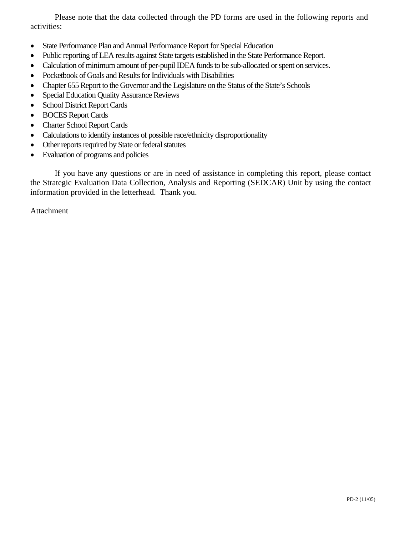Please note that the data collected through the PD forms are used in the following reports and activities:

- State Performance Plan and Annual Performance Report for Special Education
- Public reporting of LEA results against State targets established in the State Performance Report.
- Calculation of minimum amount of per-pupil IDEA funds to be sub-allocated or spent on services.
- Pocketbook of Goals and Results for Individuals with Disabilities
- Chapter 655 Report to the Governor and the Legislature on the Status of the State's Schools
- Special Education Quality Assurance Reviews
- School District Report Cards
- BOCES Report Cards
- Charter School Report Cards
- Calculations to identify instances of possible race/ethnicity disproportionality
- Other reports required by State or federal statutes
- Evaluation of programs and policies

If you have any questions or are in need of assistance in completing this report, please contact the Strategic Evaluation Data Collection, Analysis and Reporting (SEDCAR) Unit by using the contact information provided in the letterhead. Thank you.

Attachment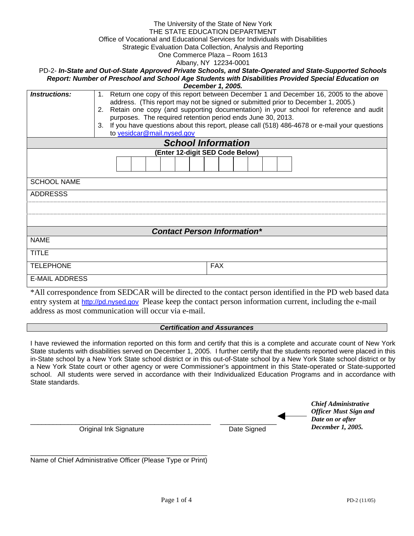#### The University of the State of New York THE STATE EDUCATION DEPARTMENT Office of Vocational and Educational Services for Individuals with Disabilities

Strategic Evaluation Data Collection, Analysis and Reporting

One Commerce Plaza – Room 1613

Albany, NY 12234-0001

PD-2- *In-State and Out-of-State Approved Private Schools, and State-Operated and State-Supported Schools Report: Number of Preschool and School Age Students with Disabilities Provided Special Education on December 1, 2005.* 

| Instructions:                      | Return one copy of this report between December 1 and December 16, 2005 to the above<br>1.<br>address. (This report may not be signed or submitted prior to December 1, 2005.) |  |  |  |  |
|------------------------------------|--------------------------------------------------------------------------------------------------------------------------------------------------------------------------------|--|--|--|--|
|                                    | Retain one copy (and supporting documentation) in your school for reference and audit<br>2.                                                                                    |  |  |  |  |
|                                    | purposes. The required retention period ends June 30, 2013.                                                                                                                    |  |  |  |  |
|                                    | If you have questions about this report, please call (518) 486-4678 or e-mail your questions<br>3.                                                                             |  |  |  |  |
|                                    | to vesidcar@mail.nysed.gov                                                                                                                                                     |  |  |  |  |
|                                    | <b>School Information</b>                                                                                                                                                      |  |  |  |  |
|                                    | (Enter 12-digit SED Code Below)                                                                                                                                                |  |  |  |  |
|                                    |                                                                                                                                                                                |  |  |  |  |
|                                    |                                                                                                                                                                                |  |  |  |  |
| <b>SCHOOL NAME</b>                 |                                                                                                                                                                                |  |  |  |  |
| <b>ADDRESSS</b>                    |                                                                                                                                                                                |  |  |  |  |
|                                    |                                                                                                                                                                                |  |  |  |  |
|                                    |                                                                                                                                                                                |  |  |  |  |
|                                    |                                                                                                                                                                                |  |  |  |  |
| <b>Contact Person Information*</b> |                                                                                                                                                                                |  |  |  |  |
| <b>NAME</b>                        |                                                                                                                                                                                |  |  |  |  |
| <b>TITLE</b>                       |                                                                                                                                                                                |  |  |  |  |
|                                    |                                                                                                                                                                                |  |  |  |  |
| <b>TELEPHONE</b>                   | <b>FAX</b>                                                                                                                                                                     |  |  |  |  |
| <b>E-MAIL ADDRESS</b>              |                                                                                                                                                                                |  |  |  |  |

\*All correspondence from SEDCAR will be directed to the contact person identified in the PD web based data entry system at http://pd.nysed.gov Please keep the contact person information current, including the e-mail address as most communication will occur via e-mail.

#### *Certification and Assurances*

I have reviewed the information reported on this form and certify that this is a complete and accurate count of New York State students with disabilities served on December 1, 2005. I further certify that the students reported were placed in this in-State school by a New York State school district or in this out-of-State school by a New York State school district or by a New York State court or other agency or were Commissioner's appointment in this State-operated or State-supported school. All students were served in accordance with their Individualized Education Programs and in accordance with State standards.

|                        |             | <b>Chief Administrative</b><br><b>Officer Must Sign and</b> |
|------------------------|-------------|-------------------------------------------------------------|
|                        |             | Date on or after                                            |
| Original Ink Signature | Date Signed | December 1, 2005.                                           |

\_\_\_\_\_\_\_\_\_\_\_\_\_\_\_\_\_\_\_\_\_\_\_\_\_\_\_\_\_\_\_\_\_\_\_\_\_\_\_\_\_\_\_\_\_\_\_ Name of Chief Administrative Officer (Please Type or Print)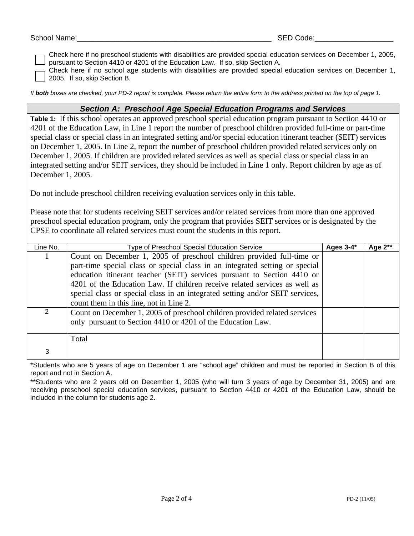Check here if no preschool students with disabilities are provided special education services on December 1, 2005, pursuant to Section 4410 or 4201 of the Education Law. If so, skip Section A.

Check here if no school age students with disabilities are provided special education services on December 1, 2005. If so, skip Section B.

*If both boxes are checked, your PD-2 report is complete. Please return the entire form to the address printed on the top of page 1.* 

### *Section A: Preschool Age Special Education Programs and Services*

**Table 1:** If this school operates an approved preschool special education program pursuant to Section 4410 or 4201 of the Education Law, in Line 1 report the number of preschool children provided full-time or part-time special class or special class in an integrated setting and/or special education itinerant teacher (SEIT) services on December 1, 2005. In Line 2, report the number of preschool children provided related services only on December 1, 2005. If children are provided related services as well as special class or special class in an integrated setting and/or SEIT services, they should be included in Line 1 only. Report children by age as of December 1, 2005.

Do not include preschool children receiving evaluation services only in this table.

Please note that for students receiving SEIT services and/or related services from more than one approved preschool special education program, only the program that provides SEIT services or is designated by the CPSE to coordinate all related services must count the students in this report.

| Line No.      | <b>Type of Preschool Special Education Service</b>                            |  | Age $2**$ |
|---------------|-------------------------------------------------------------------------------|--|-----------|
|               | Count on December 1, 2005 of preschool children provided full-time or         |  |           |
|               | part-time special class or special class in an integrated setting or special  |  |           |
|               | education itinerant teacher (SEIT) services pursuant to Section 4410 or       |  |           |
|               | 4201 of the Education Law. If children receive related services as well as    |  |           |
|               | special class or special class in an integrated setting and/or SEIT services, |  |           |
|               | count them in this line, not in Line 2.                                       |  |           |
| $\mathcal{P}$ | Count on December 1, 2005 of preschool children provided related services     |  |           |
|               | only pursuant to Section 4410 or 4201 of the Education Law.                   |  |           |
|               |                                                                               |  |           |
|               | Total                                                                         |  |           |
| 3             |                                                                               |  |           |

\*Students who are 5 years of age on December 1 are "school age" children and must be reported in Section B of this report and not in Section A.

\*\*Students who are 2 years old on December 1, 2005 (who will turn 3 years of age by December 31, 2005) and are receiving preschool special education services, pursuant to Section 4410 or 4201 of the Education Law, should be included in the column for students age 2.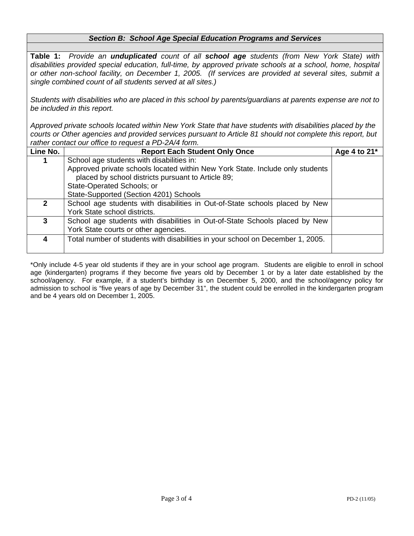# *Section B: School Age Special Education Programs and Services*

**Table 1:** *Provide an unduplicated count of all school age students (from New York State) with disabilities provided special education, full-time, by approved private schools at a school, home, hospital or other non-school facility, on December 1, 2005. (If services are provided at several sites, submit a single combined count of all students served at all sites.)*

*Students with disabilities who are placed in this school by parents/guardians at parents expense are not to be included in this report.* 

*Approved private schools located within New York State that have students with disabilities placed by the courts or Other agencies and provided services pursuant to Article 81 should not complete this report, but rather contact our office to request a PD-2A/4 form.*

| Line No.     | <b>Report Each Student Only Once</b>                                           | Age 4 to 21* |
|--------------|--------------------------------------------------------------------------------|--------------|
|              | School age students with disabilities in:                                      |              |
|              | Approved private schools located within New York State. Include only students  |              |
|              | placed by school districts pursuant to Article 89;                             |              |
|              | State-Operated Schools; or                                                     |              |
|              | State-Supported (Section 4201) Schools                                         |              |
| $\mathbf{p}$ | School age students with disabilities in Out-of-State schools placed by New    |              |
|              | York State school districts.                                                   |              |
|              | School age students with disabilities in Out-of-State Schools placed by New    |              |
|              | York State courts or other agencies.                                           |              |
|              | Total number of students with disabilities in your school on December 1, 2005. |              |
|              |                                                                                |              |

\*Only include 4-5 year old students if they are in your school age program. Students are eligible to enroll in school age (kindergarten) programs if they become five years old by December 1 or by a later date established by the school/agency. For example, if a student's birthday is on December 5, 2000, and the school/agency policy for admission to school is "five years of age by December 31", the student could be enrolled in the kindergarten program and be 4 years old on December 1, 2005.